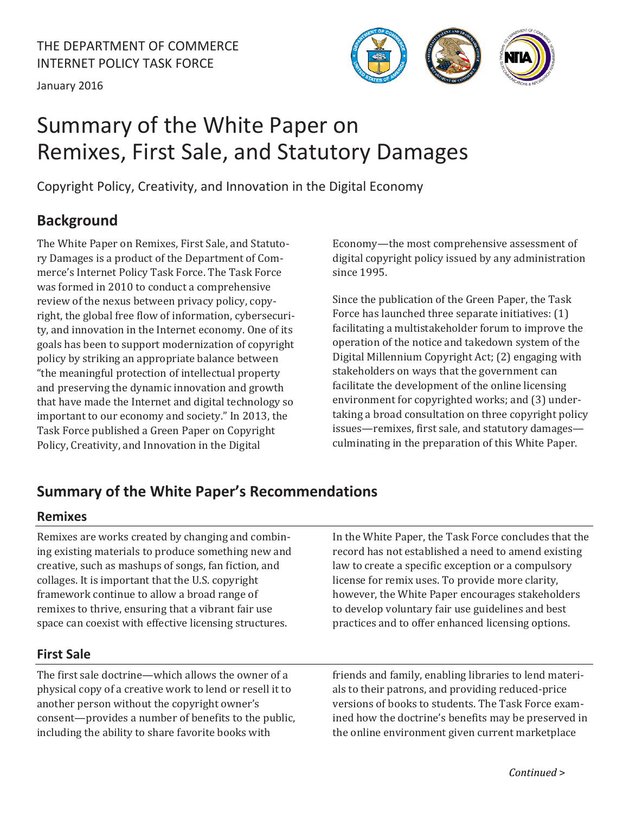January 2016



# Summary of the White Paper on Remixes, First Sale, and Statutory Damages

Copyright Policy, Creativity, and Innovation in the Digital Economy

# **Background**

The White Paper on Remixes, First Sale, and Statutory Damages is a product of the Department of Commerce's Internet Policy Task Force. The Task Force was formed in 2010 to conduct a comprehensive review of the nexus between privacy policy, copyright, the global free flow of information, cybersecurity, and innovation in the Internet economy. One of its goals has been to support modernization of copyright policy by striking an appropriate balance between "the meaningful protection of intellectual property and preserving the dynamic innovation and growth that have made the Internet and digital technology so important to our economy and society." In 2013, the Task Force published a Green Paper on Copyright Policy, Creativity, and Innovation in the Digital

Economy—the most comprehensive assessment of digital copyright policy issued by any administration since 1995.

Since the publication of the Green Paper, the Task Force has launched three separate initiatives: (1) facilitating a multistakeholder forum to improve the operation of the notice and takedown system of the Digital Millennium Copyright Act; (2) engaging with stakeholders on ways that the government can facilitate the development of the online licensing environment for copyrighted works; and (3) undertaking a broad consultation on three copyright policy issues-remixes, first sale, and statutory damagesculminating in the preparation of this White Paper.

# **Summary of the White Paper's Recommendations**

## **Remixes**

Remixes are works created by changing and combining existing materials to produce something new and creative, such as mashups of songs, fan fiction, and collages. It is important that the U.S. copyright framework continue to allow a broad range of remixes to thrive, ensuring that a vibrant fair use space can coexist with effective licensing structures.

## **First Sale**

The first sale doctrine—which allows the owner of a physical copy of a creative work to lend or resell it to another person without the copyright owner's consent—provides a number of benefits to the public, including the ability to share favorite books with

In the White Paper, the Task Force concludes that the record has not established a need to amend existing law to create a specific exception or a compulsory license for remix uses. To provide more clarity, however, the White Paper encourages stakeholders to develop voluntary fair use guidelines and best practices and to offer enhanced licensing options.

friends and family, enabling libraries to lend materials to their patrons, and providing reduced-price versions of books to students. The Task Force examined how the doctrine's benefits may be preserved in the online environment given current marketplace